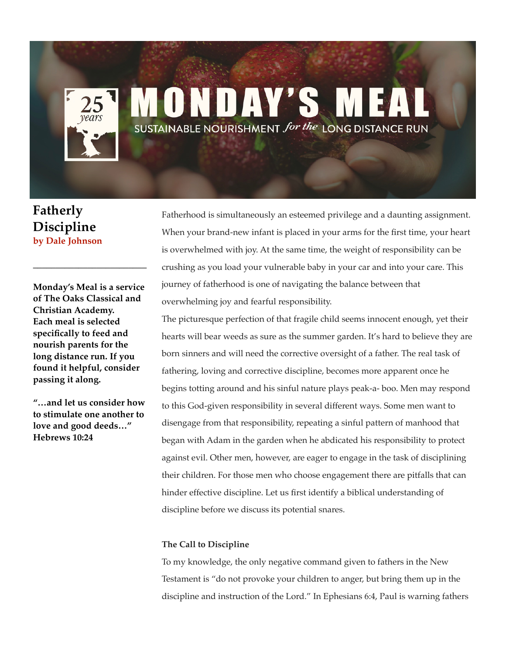# **ONDAY'S** SUSTAINABLE NOURISHMENT for the LONG DISTANCE RUN

**Fatherly Discipline by Dale Johnson** 

**Monday's Meal is a service of The Oaks Classical and Christian Academy. Each meal is selected specifically to feed and nourish parents for the long distance run. If you found it helpful, consider passing it along.**

**\_\_\_\_\_\_\_\_\_\_\_\_\_\_\_\_\_\_\_\_\_\_\_\_\_** 

**"…and let us consider how to stimulate one another to love and good deeds…" Hebrews 10:24**

Fatherhood is simultaneously an esteemed privilege and a daunting assignment. When your brand-new infant is placed in your arms for the first time, your heart is overwhelmed with joy. At the same time, the weight of responsibility can be crushing as you load your vulnerable baby in your car and into your care. This journey of fatherhood is one of navigating the balance between that overwhelming joy and fearful responsibility.

The picturesque perfection of that fragile child seems innocent enough, yet their hearts will bear weeds as sure as the summer garden. It's hard to believe they are born sinners and will need the corrective oversight of a father. The real task of fathering, loving and corrective discipline, becomes more apparent once he begins totting around and his sinful nature plays peak-a- boo. Men may respond to this God-given responsibility in several different ways. Some men want to disengage from that responsibility, repeating a sinful pattern of manhood that began with Adam in the garden when he abdicated his responsibility to protect against evil. Other men, however, are eager to engage in the task of disciplining their children. For those men who choose engagement there are pitfalls that can hinder effective discipline. Let us first identify a biblical understanding of discipline before we discuss its potential snares.

### **The Call to Discipline**

To my knowledge, the only negative command given to fathers in the New Testament is "do not provoke your children to anger, but bring them up in the discipline and instruction of the Lord." In Ephesians 6:4, Paul is warning fathers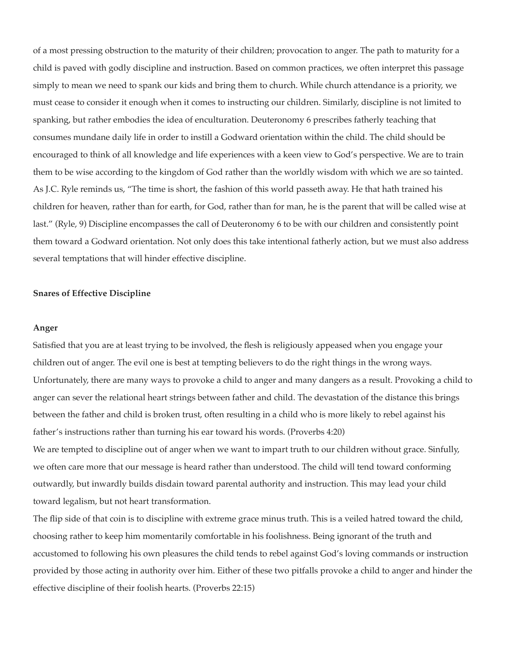of a most pressing obstruction to the maturity of their children; provocation to anger. The path to maturity for a child is paved with godly discipline and instruction. Based on common practices, we often interpret this passage simply to mean we need to spank our kids and bring them to church. While church attendance is a priority, we must cease to consider it enough when it comes to instructing our children. Similarly, discipline is not limited to spanking, but rather embodies the idea of enculturation. Deuteronomy 6 prescribes fatherly teaching that consumes mundane daily life in order to instill a Godward orientation within the child. The child should be encouraged to think of all knowledge and life experiences with a keen view to God's perspective. We are to train them to be wise according to the kingdom of God rather than the worldly wisdom with which we are so tainted. As J.C. Ryle reminds us, "The time is short, the fashion of this world passeth away. He that hath trained his children for heaven, rather than for earth, for God, rather than for man, he is the parent that will be called wise at last." (Ryle, 9) Discipline encompasses the call of Deuteronomy 6 to be with our children and consistently point them toward a Godward orientation. Not only does this take intentional fatherly action, but we must also address several temptations that will hinder effective discipline.

#### **Snares of Effective Discipline**

#### **Anger**

Satisfied that you are at least trying to be involved, the flesh is religiously appeased when you engage your children out of anger. The evil one is best at tempting believers to do the right things in the wrong ways. Unfortunately, there are many ways to provoke a child to anger and many dangers as a result. Provoking a child to anger can sever the relational heart strings between father and child. The devastation of the distance this brings between the father and child is broken trust, often resulting in a child who is more likely to rebel against his father's instructions rather than turning his ear toward his words. (Proverbs 4:20)

We are tempted to discipline out of anger when we want to impart truth to our children without grace. Sinfully, we often care more that our message is heard rather than understood. The child will tend toward conforming outwardly, but inwardly builds disdain toward parental authority and instruction. This may lead your child toward legalism, but not heart transformation.

The flip side of that coin is to discipline with extreme grace minus truth. This is a veiled hatred toward the child, choosing rather to keep him momentarily comfortable in his foolishness. Being ignorant of the truth and accustomed to following his own pleasures the child tends to rebel against God's loving commands or instruction provided by those acting in authority over him. Either of these two pitfalls provoke a child to anger and hinder the effective discipline of their foolish hearts. (Proverbs 22:15)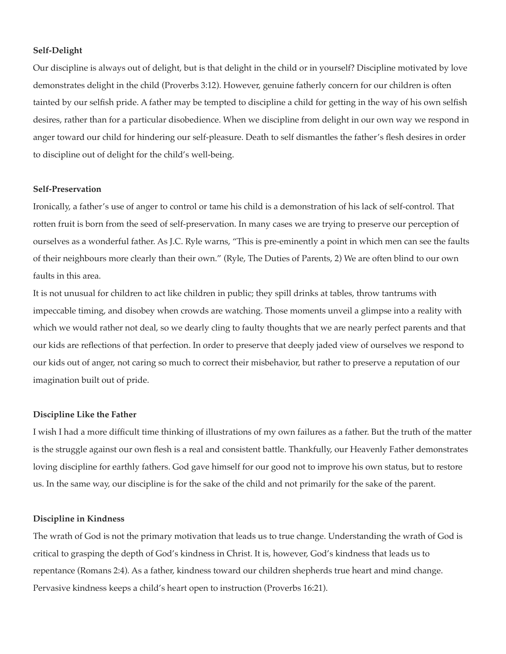#### **Self-Delight**

Our discipline is always out of delight, but is that delight in the child or in yourself? Discipline motivated by love demonstrates delight in the child (Proverbs 3:12). However, genuine fatherly concern for our children is often tainted by our selfish pride. A father may be tempted to discipline a child for getting in the way of his own selfish desires, rather than for a particular disobedience. When we discipline from delight in our own way we respond in anger toward our child for hindering our self-pleasure. Death to self dismantles the father's flesh desires in order to discipline out of delight for the child's well-being.

#### **Self-Preservation**

Ironically, a father's use of anger to control or tame his child is a demonstration of his lack of self-control. That rotten fruit is born from the seed of self-preservation. In many cases we are trying to preserve our perception of ourselves as a wonderful father. As J.C. Ryle warns, "This is pre-eminently a point in which men can see the faults of their neighbours more clearly than their own." (Ryle, The Duties of Parents, 2) We are often blind to our own faults in this area.

It is not unusual for children to act like children in public; they spill drinks at tables, throw tantrums with impeccable timing, and disobey when crowds are watching. Those moments unveil a glimpse into a reality with which we would rather not deal, so we dearly cling to faulty thoughts that we are nearly perfect parents and that our kids are reflections of that perfection. In order to preserve that deeply jaded view of ourselves we respond to our kids out of anger, not caring so much to correct their misbehavior, but rather to preserve a reputation of our imagination built out of pride.

#### **Discipline Like the Father**

I wish I had a more difficult time thinking of illustrations of my own failures as a father. But the truth of the matter is the struggle against our own flesh is a real and consistent battle. Thankfully, our Heavenly Father demonstrates loving discipline for earthly fathers. God gave himself for our good not to improve his own status, but to restore us. In the same way, our discipline is for the sake of the child and not primarily for the sake of the parent.

#### **Discipline in Kindness**

The wrath of God is not the primary motivation that leads us to true change. Understanding the wrath of God is critical to grasping the depth of God's kindness in Christ. It is, however, God's kindness that leads us to repentance (Romans 2:4). As a father, kindness toward our children shepherds true heart and mind change. Pervasive kindness keeps a child's heart open to instruction (Proverbs 16:21).